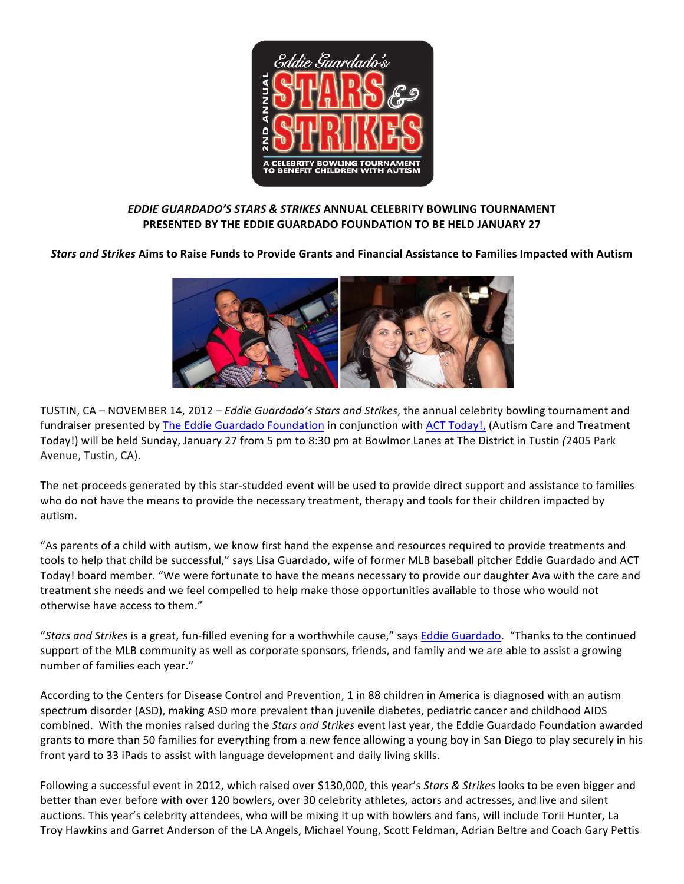

# **EDDIE GUARDADO'S STARS & STRIKES ANNUAL CELEBRITY BOWLING TOURNAMENT PRESENTED BY THE EDDIE GUARDADO FOUNDATION TO BE HELD JANUARY 27**

*Stars and Strikes* **Aims to Raise Funds to Provide Grants and Financial Assistance to Families Impacted with Autism**



TUSTIN, CA – NOVEMBER 14, 2012 – *Eddie Guardado's Stars and Strikes*, the annual celebrity bowling tournament and fundraiser presented by The Eddie Guardado Foundation in conjunction with ACT Today!, (Autism Care and Treatment Today!) will be held Sunday, January 27 from 5 pm to 8:30 pm at Bowlmor Lanes at The District in Tustin (2405 Park Avenue, Tustin, CA).

The net proceeds generated by this star-studded event will be used to provide direct support and assistance to families who do not have the means to provide the necessary treatment, therapy and tools for their children impacted by autism.

"As parents of a child with autism, we know first hand the expense and resources required to provide treatments and tools to help that child be successful," says Lisa Guardado, wife of former MLB baseball pitcher Eddie Guardado and ACT Today! board member. "We were fortunate to have the means necessary to provide our daughter Ava with the care and treatment she needs and we feel compelled to help make those opportunities available to those who would not otherwise have access to them."

"Stars and Strikes is a great, fun-filled evening for a worthwhile cause," says Eddie Guardado. "Thanks to the continued support of the MLB community as well as corporate sponsors, friends, and family and we are able to assist a growing number of families each year."

According to the Centers for Disease Control and Prevention, 1 in 88 children in America is diagnosed with an autism spectrum disorder (ASD), making ASD more prevalent than juvenile diabetes, pediatric cancer and childhood AIDS combined. With the monies raised during the *Stars and Strikes* event last year, the Eddie Guardado Foundation awarded grants to more than 50 families for everything from a new fence allowing a young boy in San Diego to play securely in his front yard to 33 iPads to assist with language development and daily living skills.

Following a successful event in 2012, which raised over \$130,000, this year's Stars & Strikes looks to be even bigger and better than ever before with over 120 bowlers, over 30 celebrity athletes, actors and actresses, and live and silent auctions. This year's celebrity attendees, who will be mixing it up with bowlers and fans, will include Torii Hunter, La Troy Hawkins and Garret Anderson of the LA Angels, Michael Young, Scott Feldman, Adrian Beltre and Coach Gary Pettis